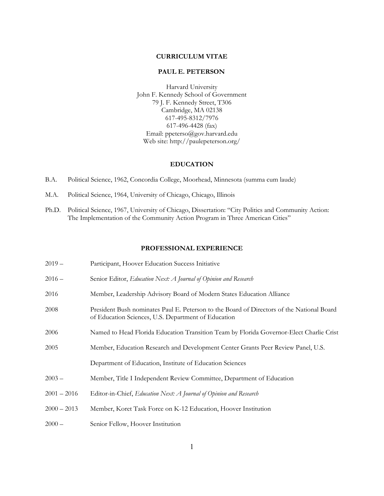## **CURRICULUM VITAE**

#### **PAUL E. PETERSON**

Harvard University John F. Kennedy School of Government 79 J. F. Kennedy Street, T306 Cambridge, MA 02138 617-495-8312/7976 617-496-4428 (fax) Email: ppeterso@gov.harvard.edu Web site: http://paulepeterson.org/

#### **EDUCATION**

- B.A. Political Science, 1962, Concordia College, Moorhead, Minnesota (summa cum laude)
- M.A. Political Science, 1964, University of Chicago, Chicago, Illinois
- Ph.D. Political Science, 1967, University of Chicago, Dissertation: "City Politics and Community Action: The Implementation of the Community Action Program in Three American Cities"

## **PROFESSIONAL EXPERIENCE**

| $2019 -$      | Participant, Hoover Education Success Initiative                                                                                                 |
|---------------|--------------------------------------------------------------------------------------------------------------------------------------------------|
| $2016 -$      | Senior Editor, Education Next: A Journal of Opinion and Research                                                                                 |
| 2016          | Member, Leadership Advisory Board of Modern States Education Alliance                                                                            |
| 2008          | President Bush nominates Paul E. Peterson to the Board of Directors of the National Board<br>of Education Sciences, U.S. Department of Education |
| 2006          | Named to Head Florida Education Transition Team by Florida Governor-Elect Charlie Crist                                                          |
| 2005          | Member, Education Research and Development Center Grants Peer Review Panel, U.S.                                                                 |
|               | Department of Education, Institute of Education Sciences                                                                                         |
| $2003 -$      | Member, Title I Independent Review Committee, Department of Education                                                                            |
| $2001 - 2016$ | Editor-in-Chief, Education Next: A Journal of Opinion and Research                                                                               |
| $2000 - 2013$ | Member, Koret Task Force on K-12 Education, Hoover Institution                                                                                   |
| $2000 -$      | Senior Fellow, Hoover Institution                                                                                                                |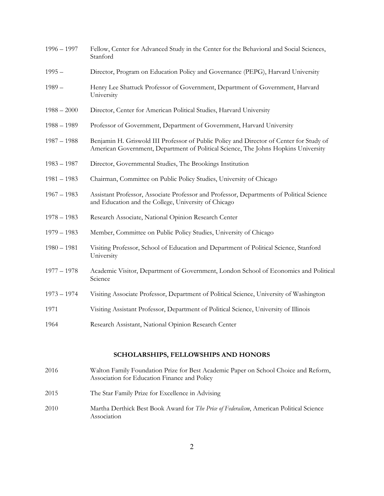| $1996 - 1997$ | Fellow, Center for Advanced Study in the Center for the Behavioral and Social Sciences,<br>Stanford                                                                           |
|---------------|-------------------------------------------------------------------------------------------------------------------------------------------------------------------------------|
| $1995 -$      | Director, Program on Education Policy and Governance (PEPG), Harvard University                                                                                               |
| $1989-$       | Henry Lee Shattuck Professor of Government, Department of Government, Harvard<br>University                                                                                   |
| $1988 - 2000$ | Director, Center for American Political Studies, Harvard University                                                                                                           |
| $1988 - 1989$ | Professor of Government, Department of Government, Harvard University                                                                                                         |
| $1987 - 1988$ | Benjamin H. Griswold III Professor of Public Policy and Director of Center for Study of<br>American Government, Department of Political Science, The Johns Hopkins University |
| $1983 - 1987$ | Director, Governmental Studies, The Brookings Institution                                                                                                                     |
| $1981 - 1983$ | Chairman, Committee on Public Policy Studies, University of Chicago                                                                                                           |
| $1967 - 1983$ | Assistant Professor, Associate Professor and Professor, Departments of Political Science<br>and Education and the College, University of Chicago                              |
| $1978 - 1983$ | Research Associate, National Opinion Research Center                                                                                                                          |
| $1979 - 1983$ | Member, Committee on Public Policy Studies, University of Chicago                                                                                                             |
| $1980 - 1981$ | Visiting Professor, School of Education and Department of Political Science, Stanford<br>University                                                                           |
| $1977 - 1978$ | Academic Visitor, Department of Government, London School of Economics and Political<br>Science                                                                               |
| $1973 - 1974$ | Visiting Associate Professor, Department of Political Science, University of Washington                                                                                       |
| 1971          | Visiting Assistant Professor, Department of Political Science, University of Illinois                                                                                         |
| 1964          | Research Assistant, National Opinion Research Center                                                                                                                          |
|               |                                                                                                                                                                               |

## **SCHOLARSHIPS, FELLOWSHIPS AND HONORS**

- 2016 Walton Family Foundation Prize for Best Academic Paper on School Choice and Reform, Association for Education Finance and Policy 2015 The Star Family Prize for Excellence in Advising 2010 Martha Derthick Best Book Award for *The Price of Federalism*, American Political Science
	- Association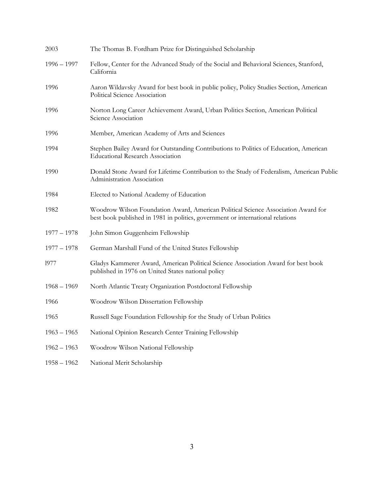| 2003          | The Thomas B. Fordham Prize for Distinguished Scholarship                                                                                                           |
|---------------|---------------------------------------------------------------------------------------------------------------------------------------------------------------------|
| $1996 - 1997$ | Fellow, Center for the Advanced Study of the Social and Behavioral Sciences, Stanford,<br>California                                                                |
| 1996          | Aaron Wildavsky Award for best book in public policy, Policy Studies Section, American<br>Political Science Association                                             |
| 1996          | Norton Long Career Achievement Award, Urban Politics Section, American Political<br>Science Association                                                             |
| 1996          | Member, American Academy of Arts and Sciences                                                                                                                       |
| 1994          | Stephen Bailey Award for Outstanding Contributions to Politics of Education, American<br><b>Educational Research Association</b>                                    |
| 1990          | Donald Stone Award for Lifetime Contribution to the Study of Federalism, American Public<br>Administration Association                                              |
| 1984          | Elected to National Academy of Education                                                                                                                            |
| 1982          | Woodrow Wilson Foundation Award, American Political Science Association Award for<br>best book published in 1981 in politics, government or international relations |
| $1977 - 1978$ | John Simon Guggenheim Fellowship                                                                                                                                    |
| $1977 - 1978$ | German Marshall Fund of the United States Fellowship                                                                                                                |
| 1977          | Gladys Kammerer Award, American Political Science Association Award for best book<br>published in 1976 on United States national policy                             |
| $1968 - 1969$ | North Atlantic Treaty Organization Postdoctoral Fellowship                                                                                                          |
| 1966          | Woodrow Wilson Dissertation Fellowship                                                                                                                              |
| 1965          | Russell Sage Foundation Fellowship for the Study of Urban Politics                                                                                                  |
| $1963 - 1965$ | National Opinion Research Center Training Fellowship                                                                                                                |
| $1962 - 1963$ | Woodrow Wilson National Fellowship                                                                                                                                  |
| $1958 - 1962$ | National Merit Scholarship                                                                                                                                          |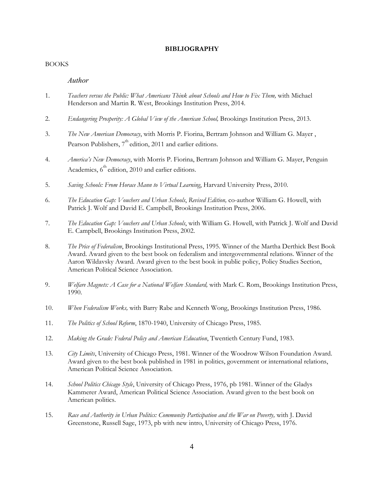#### **BIBLIOGRAPHY**

#### BOOKS

### *Author*

- 1. *Teachers versus the Public: What Americans Think about Schools and How to Fix Them,* with Michael Henderson and Martin R. West, Brookings Institution Press, 2014.
- 2. *Endangering Prosperity: A Global View of the American School,* Brookings Institution Press, 2013.
- 3. *The New American Democracy*, with Morris P. Fiorina, Bertram Johnson and William G. Mayer , Pearson Publishers,  $7<sup>th</sup>$  edition, 2011 and earlier editions.
- 4. *America's New Democracy*, with Morris P. Fiorina, Bertram Johnson and William G. Mayer, Penguin Academics, 6<sup>th</sup> edition, 2010 and earlier editions.
- 5. *Saving Schools: From Horace Mann to Virtual Learning*, Harvard University Press, 2010.
- 6. *The Education Gap: Vouchers and Urban Schools*, *Revised Edition,* co-author William G. Howell, with Patrick J. Wolf and David E. Campbell, Brookings Institution Press, 2006.
- 7. *The Education Gap: Vouchers and Urban Schools*, with William G. Howell, with Patrick J. Wolf and David E. Campbell, Brookings Institution Press, 2002.
- 8. *The Price of Federalism*, Brookings Institutional Press, 1995. Winner of the Martha Derthick Best Book Award. Award given to the best book on federalism and intergovernmental relations. Winner of the Aaron Wildavsky Award. Award given to the best book in public policy, Policy Studies Section, American Political Science Association.
- 9. *Welfare Magnets: A Case for a National Welfare Standard,* with Mark C. Rom, Brookings Institution Press, 1990.
- 10. *When Federalism Works,* with Barry Rabe and Kenneth Wong, Brookings Institution Press, 1986.
- 11. *The Politics of School Reform*, 1870-1940, University of Chicago Press, 1985.
- 12. *Making the Grade: Federal Policy and American Education*, Twentieth Century Fund, 1983.
- 13. *City Limits*, University of Chicago Press, 1981. Winner of the Woodrow Wilson Foundation Award. Award given to the best book published in 1981 in politics, government or international relations, American Political Science Association.
- 14. *School Politics Chicago Style*, University of Chicago Press, 1976, pb 1981. Winner of the Gladys Kammerer Award, American Political Science Association. Award given to the best book on American politics.
- 15. *Race and Authority in Urban Politics: Community Participation and the War on Poverty,* with J. David Greenstone, Russell Sage, 1973, pb with new intro, University of Chicago Press, 1976.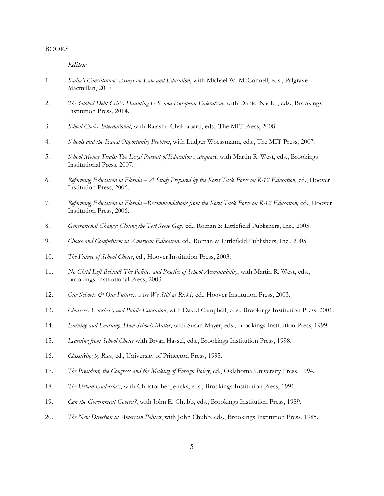#### BOOKS

## *Editor*

- 1. *Scalia's Constitution: Essays on Law and Education*, with Michael W. McConnell, eds., Palgrave Macmillan, 2017
- 2. *The Global Debt Crisis: Haunting U.S. and European Federalism*, with Daniel Nadler, eds., Brookings Institution Press, 2014.
- 3. *School Choice International*, with Rajashri Chakrabarti, eds., The MIT Press, 2008.
- 4. *Schools and the Equal Opportunity Problem*, with Ludger Woessmann, eds., The MIT Press, 2007.
- 5. *School Money Trials: The Legal Pursuit of Education Adequacy*, with Martin R. West, eds., Brookings Institutional Press, 2007.
- 6. *Reforming Education in Florida – A Study Prepared by the Koret Task Force on K-12 Education,* ed., Hoover Institution Press, 2006.
- 7. *Reforming Education in Florida –Recommendations from the Koret Task Force on K-12 Education, ed., Hoover* Institution Press, 2006.
- 8. *Generational Change: Closing the Test Score Gap*, ed., Roman & Littlefield Publishers, Inc., 2005.
- 9. *Choice and Competition in American Education*, ed., Roman & Littlefield Publishers, Inc., 2005.
- 10. *The Future of School Choice*, ed., Hoover Institution Press, 2003.
- 11. *No Child Left Behind? The Politics and Practice of School Accountability*, with Martin R. West, eds., Brookings Institutional Press, 2003.
- 12. *Our Schools & Our Future... Are We Still at Risk?*, ed., Hoover Institution Press, 2003.
- 13. *Charters, Vouchers, and Public Education*, with David Campbell, eds., Brookings Institution Press, 2001.
- 14. *Earning and Learning: How Schools Matter*, with Susan Mayer, eds., Brookings Institution Press, 1999.
- 15. *Learning from School Choice* with Bryan Hassel, eds., Brookings Institution Press, 1998.
- 16. *Classifying by Race,* ed., University of Princeton Press, 1995.
- 17. *The President, the Congress and the Making of Foreign Policy*, ed., Oklahoma University Press, 1994.
- 18. *The Urban Underclass*, with Christopher Jencks, eds., Brookings Institution Press, 1991.
- 19. *Can the Government Govern?*, with John E. Chubb, eds., Brookings Institution Press, 1989.
- 20. *The New Direction in American Politics*, with John Chubb, eds., Brookings Institution Press, 1985.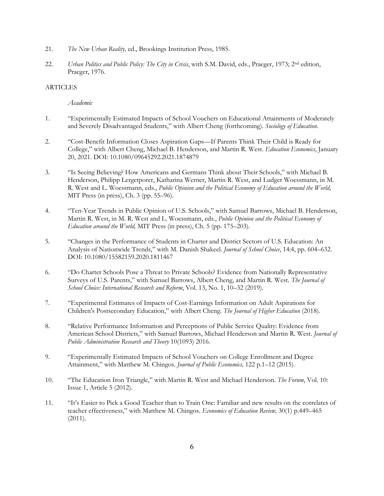- 21. *The New Urban Reality,* ed., Brookings Institution Press, 1985.
- 22. *Urban Politics and Public Policy: The City in Crisis*, with S.M. David, eds., Praeger, 1973; 2nd edition, Praeger, 1976.

## **ARTICLES**

*Academic*

- 1. "Experimentally Estimated Impacts of School Vouchers on Educational Attainments of Moderately and Severely Disadvantaged Students," with Albert Cheng (forthcoming). *Sociology of Education*.
- 2. "Cost-Benefit Information Closes Aspiration Gaps—If Parents Think Their Child is Ready for College," with Albert Cheng, Michael B. Henderson, and Martin R. West. *Education Economics*, January 20, 2021. DOI: 10.1080/09645292.2021.1874879
- 3. "Is Seeing Believing? How Americans and Germans Think about Their Schools," with Michael B. Henderson, Philipp Lergetporer, Katharina Werner, Martin R. West, and Ludger Woessmann, in M. R. West and L. Woessmann, eds., *Public Opinion and the Political Economy of Education around the World,* MIT Press (in press), Ch. 3 (pp. 55–96).
- 4. "Ten-Year Trends in Public Opinion of U.S. Schools," with Samuel Barrows, Michael B. Henderson, Martin R. West, in M. R. West and L. Woessmann, eds., *Public Opinion and the Political Economy of Education around the World,* MIT Press (in press), Ch. 5 (pp. 175–203).
- 5. "Changes in the Performance of Students in Charter and District Sectors of U.S. Education: An Analysis of Nationwide Trends," with M. Danish Shakeel. *Journal of School Choice*, 14:4, pp. 604–632. DOI: 10.1080/15582159.2020.1811467
- 6. "Do Charter Schools Pose a Threat to Private Schools? Evidence from Nationally Representative Surveys of U.S. Parents," with Samuel Barrows, Albert Cheng, and Martin R. West. *The Journal of School Choice: International Research and Reform*, Vol. 13, No. 1, 10–32 (2019).
- 7. "Experimental Estimates of Impacts of Cost-Earnings Information on Adult Aspirations for Children's Postsecondary Education," with Albert Cheng. *The Journal of Higher Education* (2018).
- 8. "Relative Performance Information and Perceptions of Public Service Quality: Evidence from American School Districts," with Samuel Barrows, Michael Henderson and Martin R. West. *Journal of Public Administration Research and Theory* 10(1093) 2016.
- 9. "Experimentally Estimated Impacts of School Vouchers on College Enrollment and Degree Attainment," with Matthew M. Chingos. *Journal of Public Economics,* 122 p.1–12 (2015).
- 10. "The Education Iron Triangle," with Martin R. West and Michael Henderson. *The Forum*, Vol. 10: Issue 1, Article 5 (2012).
- 11. "It's Easier to Pick a Good Teacher than to Train One: Familiar and new results on the correlates of teacher effectiveness," with Matthew M. Chingos. *Economics of Education Review,* 30(1) p.449–465  $(2011).$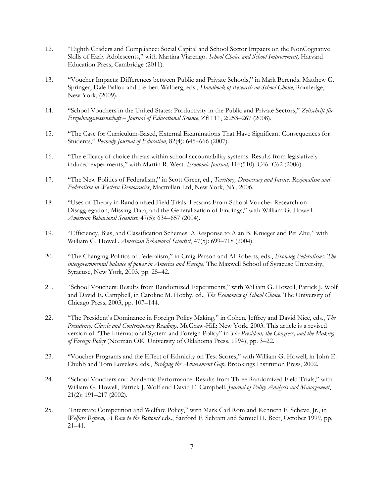- 12. "Eighth Graders and Compliance: Social Capital and School Sector Impacts on the NonCognative Skills of Early Adolescents," with Martina Viarengo. *School Choice and School Improvement,* Harvard Education Press, Cambridge (2011).
- 13. "Voucher Impacts: Differences between Public and Private Schools," in Mark Berends, Matthew G. Springer, Dale Ballou and Herbert Walberg, eds., *Handbook of Research on School Choice*, Routledge, New York, (2009).
- 14. "School Vouchers in the United States: Productivity in the Public and Private Sectors," *Zeitschrift für Erziehungswissenschaft – Journal of Educational Science*, ZfE 11, 2:253–267 (2008).
- 15. "The Case for Curriculum-Based, External Examinations That Have Significant Consequences for Students," *Peabody Journal of Education*, 82(4): 645–666 (2007).
- 16. "The efficacy of choice threats within school accountability systems: Results from legislatively induced experiments," with Martin R. West. *Economic Journal,* 116(510): C46–C62 (2006).
- 17. "The New Politics of Federalism," in Scott Greer, ed., *Territory, Democracy and Justice: Regionalism and Federalism in Western Democracies*, Macmillan Ltd, New York, NY, 2006.
- 18. "Uses of Theory in Randomized Field Trials: Lessons From School Voucher Research on Disaggregation, Missing Data, and the Generalization of Findings," with William G. Howell. *American Behavioral Scientist*, 47(5): 634–657 (2004).
- 19. "Efficiency, Bias, and Classification Schemes: A Response to Alan B. Krueger and Pei Zhu," with William G. Howell. *American Behavioral Scientist*, 47(5): 699–718 (2004).
- 20. "The Changing Politics of Federalism," in Craig Parson and Al Roberts, eds., *Evolving Federalisms: The intergovernmental balance of power in America and Europe*, The Maxwell School of Syracuse University, Syracuse, New York, 2003, pp. 25–42.
- 21. "School Vouchers: Results from Randomized Experiments," with William G. Howell, Patrick J. Wolf and David E. Campbell, in Caroline M. Hoxby, ed., *The Economics of School Choice*, The University of Chicago Press, 2003, pp. 107–144.
- 22. "The President's Dominance in Foreign Policy Making," in Cohen, Jeffrey and David Nice, eds., *The Presidency: Classic and Contemporary Readings*. McGraw-Hill: New York, 2003. This article is a revised version of "The International System and Foreign Policy" in *The President, the Congress, and the Making of Foreign Policy* (Norman OK: University of Oklahoma Press, 1994), pp. 3–22.
- 23. "Voucher Programs and the Effect of Ethnicity on Test Scores," with William G. Howell, in John E. Chubb and Tom Loveless, eds., *Bridging the Achievement Gap,* Brookings Institution Press, 2002.
- 24. "School Vouchers and Academic Performance: Results from Three Randomized Field Trials," with William G. Howell, Patrick J. Wolf and David E. Campbell. *Journal of Policy Analysis and Management*, 21(2): 191–217 (2002).
- 25. "Interstate Competition and Welfare Policy," with Mark Carl Rom and Kenneth F. Scheve, Jr., in *Welfare Reform, A Race to the Bottom?* eds., Sanford F. Schram and Samuel H. Beer, October 1999, pp. 21–41.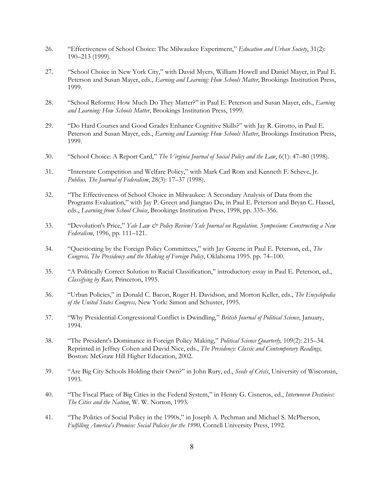- 26. "Effectiveness of School Choice: The Milwaukee Experiment," *Education and Urban Society*, 31(2): 190–213 (1999).
- 27. "School Choice in New York City," with David Myers, William Howell and Daniel Mayer, in Paul E. Peterson and Susan Mayer, eds., *Earning and Learning: How Schools Matter*, Brookings Institution Press, 1999.
- 28. "School Reforms: How Much Do They Matter?" in Paul E. Peterson and Susan Mayer, eds., *Earning and Learning: How Schools Matter*, Brookings Institution Press, 1999.
- 29. "Do Hard Courses and Good Grades Enhance Cognitive Skills?" with Jay R. Girotto, in Paul E. Peterson and Susan Mayer, eds., *Earning and Learning: How Schools Matter*, Brookings Institution Press, 1999.
- 30. "School Choice: A Report Card," *The Virginia Journal of Social Policy and the Law*, 6(1): 47–80 (1998).
- 31. "Interstate Competition and Welfare Policy," with Mark Carl Rom and Kenneth F. Scheve, Jr. *Publius, The Journal of Federalism*, 28(3): 17–37 (1998).
- 32. "The Effectiveness of School Choice in Milwaukee: A Secondary Analysis of Data from the Programs Evaluation," with Jay P. Green and Jiangtao Du, in Paul E. Peterson and Bryan C. Hassel, eds., *Learning from School Choice*, Brookings Institution Press, 1998, pp. 335–356.
- 33. "Devolution's Price," *Yale Law & Policy Review/Yale Journal on Regulation. Symposium: Constructing a New Federalism*, 1996, pp. 111–121.
- 34. "Questioning by the Foreign Policy Committees," with Jay Greene in Paul E. Peterson, ed., *The Congress, The Presidency and the Making of Foreign Policy*, Oklahoma 1995. pp. 74–100.
- 35. "A Politically Correct Solution to Racial Classification," introductory essay in Paul E. Peterson, ed., *Classifying by Race,* Princeton, 1995.
- 36. "Urban Policies," in Donald C. Bacon, Roger H. Davidson, and Morton Keller, eds., *The Encyclopedia of the United States Congress,* New York: Simon and Schuster, 1995.
- 37. "Why Presidential-Congressional Conflict is Dwindling," *British Journal of Political Science*, January, 1994.
- 38. "The President's Dominance in Foreign Policy Making," *Political Science Quarterly,* 109(2): 215–34. Reprinted in Jeffrey Cohen and David Nice, eds., *The Presidency: Classic and Contemporary Readings,* Boston: McGraw Hill Higher Education, 2002.
- 39. "Are Big City Schools Holding their Own?" in John Rury, ed., *Seeds of Crisis*, University of Wisconsin, 1993.
- 40. "The Fiscal Place of Big Cities in the Federal System," in Henry G. Cisneros, ed., *Interwoven Destinies: The Cities and the Nation*, W. W. Norton, 1993.
- 41. "The Politics of Social Policy in the 1990s," in Joseph A. Pechman and Michael S. McPherson, *Fulfilling America's Promise: Social Policies for the 1990,* Cornell University Press, 1992.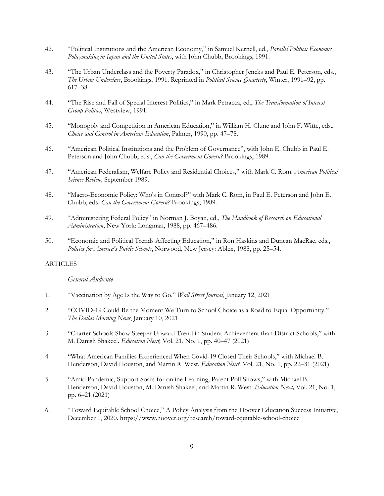- 42. "Political Institutions and the American Economy," in Samuel Kernell, ed., *Parallel Politics: Economic Policymaking in Japan and the United States*, with John Chubb, Brookings, 1991.
- 43. "The Urban Underclass and the Poverty Paradox," in Christopher Jencks and Paul E. Peterson, eds., *The Urban Underclass*, Brookings, 1991. Reprinted in *Political Science Quarterly*, Winter, 1991–92, pp. 617–38.
- 44. "The Rise and Fall of Special Interest Politics," in Mark Petracca, ed., *The Transformation of Interest Group Politics*, Westview, 1991.
- 45. "Monopoly and Competition in American Education," in William H. Clune and John F. Witte, eds., *Choice and Control in American Education*, Palmer, 1990, pp. 47–78.
- 46. "American Political Institutions and the Problem of Governance", with John E. Chubb in Paul E. Peterson and John Chubb, eds., *Can the Government Govern?* Brookings, 1989.
- 47. "American Federalism, Welfare Policy and Residential Choices," with Mark C. Rom. *American Political Science Review,* September 1989.
- 48. "Macro-Economic Policy: Who's in Control?" with Mark C. Rom, in Paul E. Peterson and John E. Chubb, eds. *Can the Government Govern?* Brookings, 1989.
- 49. "Administering Federal Policy" in Norman J. Boyan, ed., *The Handbook of Research on Educational Administration*, New York: Longman, 1988, pp. 467–486.
- 50. "Economic and Political Trends Affecting Education," in Ron Haskins and Duncan MacRae, eds., *Policies for America's Public Schools*, Norwood, New Jersey: Ablex, 1988, pp. 25–54.

#### ARTICLES

## *General Audience*

- 1. "Vaccination by Age Is the Way to Go." *Wall Street Journal*, January 12, 2021
- 2. "COVID-19 Could Be the Moment We Turn to School Choice as a Road to Equal Opportunity." *The Dallas Morning News*, January 10, 2021
- 3. "Charter Schools Show Steeper Upward Trend in Student Achievement than District Schools," with M. Danish Shakeel. *Education Next,* Vol. 21, No. 1, pp. 40–47 (2021)
- 4. "What American Families Experienced When Covid-19 Closed Their Schools," with Michael B. Henderson, David Houston, and Martin R. West. *Education Next,* Vol. 21, No. 1, pp. 22–31 (2021)
- 5. "Amid Pandemic, Support Soars for online Learning, Parent Poll Shows," with Michael B. Henderson, David Houston, M. Danish Shakeel, and Martin R. West. *Education Next,* Vol. 21, No. 1, pp. 6–21 (2021)
- 6. "Toward Equitable School Choice," A Policy Analysis from the Hoover Education Success Initiative, December 1, 2020. https://www.hoover.org/research/toward-equitable-school-choice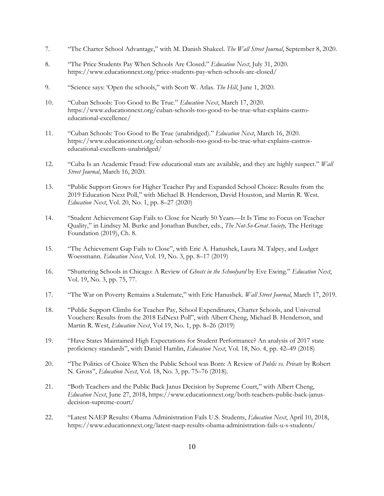- 7. "The Charter School Advantage," with M. Danish Shakeel. *The Wall Street Journal*, September 8, 2020.
- 8. "The Price Students Pay When Schools Are Closed." *Education Next*, July 31, 2020. https://www.educationnext.org/price-students-pay-when-schools-are-closed/
- 9. "Science says: 'Open the schools," with Scott W. Atlas. *The Hill*, June 1, 2020.
- 10. "Cuban Schools: Too Good to Be True." *Education Next*, March 17, 2020. https://www.educationnext.org/cuban-schools-too-good-to-be-true-what-explains-castroeducational-excellence/
- 11. "Cuban Schools: Too Good to Be True (unabridged)." *Education Next*, March 16, 2020. https://www.educationnext.org/cuban-schools-too-good-to-be-true-what-explains-castroseducational-excellents-unabridged/
- 12. "Cuba Is an Academic Fraud: Few educational stats are available, and they are highly suspect." *Wall Street Journal*, March 16, 2020.
- 13. "Public Support Grows for Higher Teacher Pay and Expanded School Choice: Results from the 2019 Education Next Poll," with Michael B. Henderson, David Houston, and Martin R. West. *Education Next*, Vol. 20, No. 1, pp. 8–27 (2020)
- 14. "Student Achievement Gap Fails to Close for Nearly 50 Years—It Is Time to Focus on Teacher Quality," in Lindsey M. Burke and Jonathan Butcher, eds., *The Not-So-Great Society,* The Heritage Foundation (2019), Ch. 8.
- 15. "The Achievement Gap Fails to Close", with Eric A. Hanushek, Laura M. Talpey, and Ludger Woessmann. *Education Next*, Vol. 19, No. 3, pp. 8–17 (2019)
- 16. "Shuttering Schools in Chicago: A Review of *Ghosts in the Schoolyard* by Eve Ewing." *Education Next*, Vol. 19, No. 3, pp. 75, 77.
- 17. "The War on Poverty Remains a Stalemate," with Eric Hanushek. *Wall Street Journal*, March 17, 2019.
- 18. "Public Support Climbs for Teacher Pay, School Expenditures, Charter Schools, and Universal Vouchers: Results from the 2018 EdNext Poll", with Albert Cheng, Michael B. Henderson, and Martin R. West, *Education Next*, Vol 19, No. 1, pp. 8–26 (2019)
- 19. "Have States Maintained High Expectations for Student Performance? An analysis of 2017 state proficiency standards", with Daniel Hamlin, *Education Next*, Vol. 18, No. 4, pp. 42–49 (2018)
- 20. "The Politics of Choice When the Public School was Born: A Review of *Public vs. Private* by Robert N. Gross", *Education Next*, Vol. 18, No. 3, pp. 75–76 (2018).
- 21. "Both Teachers and the Public Back Janus Decision by Supreme Court," with Albert Cheng, *Education Next*, June 27, 2018, https://www.educationnext.org/both-teachers-public-back-janusdecision-supreme-court/
- 22. "Latest NAEP Results: Obama Administration Fails U.S. Students, *Education Next*, April 10, 2018, https://www.educationnext.org/latest-naep-results-obama-administration-fails-u-s-students/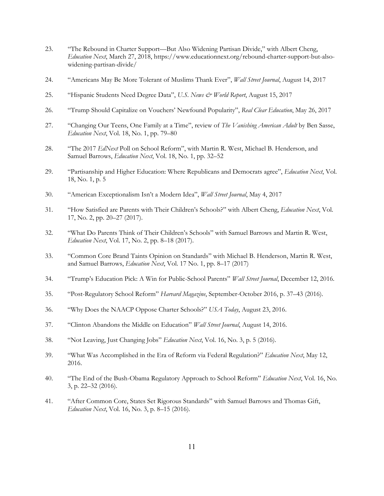- 23. "The Rebound in Charter Support—But Also Widening Partisan Divide," with Albert Cheng, *Education Next*, March 27, 2018, https://www.educationnext.org/rebound-charter-support-but-alsowidening-partisan-divide/
- 24. "Americans May Be More Tolerant of Muslims Thank Ever", *Wall Street Journal*, August 14, 2017
- 25. "Hispanic Students Need Degree Data", *U.S. News & World Report*, August 15, 2017
- 26. "Trump Should Capitalize on Vouchers' Newfound Popularity", *Real Clear Education*, May 26, 2017
- 27. "Changing Our Teens, One Family at a Time", review of *The Vanishing American Adult* by Ben Sasse, *Education Next*, Vol. 18, No. 1, pp. 79–80
- 28. "The 2017 *EdNext* Poll on School Reform", with Martin R. West, Michael B. Henderson, and Samuel Barrows, *Education Next*, Vol. 18, No. 1, pp. 32–52
- 29. "Partisanship and Higher Education: Where Republicans and Democrats agree", *Education Next*, Vol. 18, No. 1, p. 5
- 30. "American Exceptionalism Isn't a Modern Idea", *Wall Street Journal*, May 4, 2017
- 31. "How Satisfied are Parents with Their Children's Schools?" with Albert Cheng, *Education Next*, Vol. 17, No. 2, pp. 20–27 (2017).
- 32. "What Do Parents Think of Their Children's Schools" with Samuel Barrows and Martin R. West, *Education Next*, Vol. 17, No. 2, pp. 8–18 (2017).
- 33. "Common Core Brand Taints Opinion on Standards" with Michael B. Henderson, Martin R. West, and Samuel Barrows, *Education Next*, Vol. 17 No. 1, pp. 8–17 (2017)
- 34. "Trump's Education Pick: A Win for Public-School Parents" *Wall Street Journal*, December 12, 2016.
- 35. "Post-Regulatory School Reform" *Harvard Magazine*, September-October 2016, p. 37–43 (2016).
- 36. "Why Does the NAACP Oppose Charter Schools?" *USA Today*, August 23, 2016.
- 37. "Clinton Abandons the Middle on Education" *Wall Street Journal*, August 14, 2016.
- 38. "Not Leaving, Just Changing Jobs" *Education Next*, Vol. 16, No. 3, p. 5 (2016).
- 39. "What Was Accomplished in the Era of Reform via Federal Regulation?" *Education Next*, May 12, 2016.
- 40. "The End of the Bush-Obama Regulatory Approach to School Reform" *Education Next*, Vol. 16, No. 3, p. 22–32 (2016).
- 41. "After Common Core, States Set Rigorous Standards" with Samuel Barrows and Thomas Gift, *Education Next*, Vol. 16, No. 3, p. 8–15 (2016).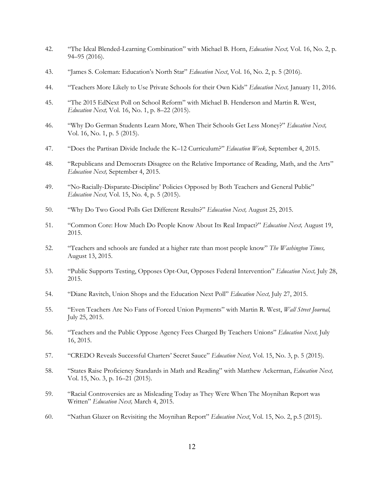- 42. "The Ideal Blended-Learning Combination" with Michael B. Horn, *Education Next,* Vol. 16, No. 2, p. 94–95 (2016).
- 43. "James S. Coleman: Education's North Star" *Education Next*, Vol. 16, No. 2, p. 5 (2016).
- 44. "Teachers More Likely to Use Private Schools for their Own Kids" *Education Next,* January 11, 2016.
- 45. "The 2015 EdNext Poll on School Reform" with Michael B. Henderson and Martin R. West, *Education Next,* Vol. 16, No. 1, p. 8–22 (2015).
- 46. "Why Do German Students Learn More, When Their Schools Get Less Money?" *Education Next,*  Vol. 16, No. 1, p. 5 (2015).
- 47. "Does the Partisan Divide Include the K–12 Curriculum?" *Education Week,* September 4, 2015.
- 48. "Republicans and Democrats Disagree on the Relative Importance of Reading, Math, and the Arts" *Education Next,* September 4, 2015.
- 49. "No-Racially-Disparate-Discipline' Policies Opposed by Both Teachers and General Public" *Education Next,* Vol. 15, No. 4, p. 5 (2015).
- 50. "Why Do Two Good Polls Get Different Results?" *Education Next,* August 25, 2015.
- 51. "Common Core: How Much Do People Know About Its Real Impact?" *Education Next,* August 19, 2015.
- 52. "Teachers and schools are funded at a higher rate than most people know" *The Washington Times,*  August 13, 2015.
- 53. "Public Supports Testing, Opposes Opt-Out, Opposes Federal Intervention" *Education Next,* July 28, 2015.
- 54. "Diane Ravitch, Union Shops and the Education Next Poll" *Education Next,* July 27, 2015.
- 55. "Even Teachers Are No Fans of Forced Union Payments" with Martin R. West, *Wall Street Journal,*  July 25, 2015.
- 56. "Teachers and the Public Oppose Agency Fees Charged By Teachers Unions" *Education Next,* July 16, 2015.
- 57. "CREDO Reveals Successful Charters' Secret Sauce" *Education Next,* Vol. 15, No. 3, p. 5 (2015).
- 58. "States Raise Proficiency Standards in Math and Reading" with Matthew Ackerman, *Education Next,*  Vol. 15, No. 3, p. 16–21 (2015).
- 59. "Racial Controversies are as Misleading Today as They Were When The Moynihan Report was Written" *Education Next,* March 4, 2015.
- 60. "Nathan Glazer on Revisiting the Moynihan Report" *Education Next*, Vol. 15, No. 2, p.5 (2015).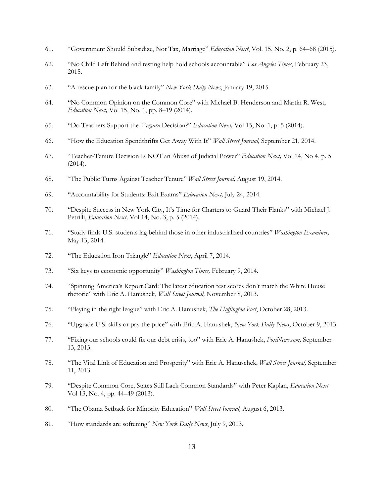- 61. "Government Should Subsidize, Not Tax, Marriage" *Education Next*, Vol. 15, No. 2, p. 64–68 (2015).
- 62. "No Child Left Behind and testing help hold schools accountable" *Los Angeles Times*, February 23, 2015.
- 63. "A rescue plan for the black family" *New York Daily News*, January 19, 2015.
- 64. "No Common Opinion on the Common Core" with Michael B. Henderson and Martin R. West, *Education Next,* Vol 15, No. 1, pp. 8–19 (2014).
- 65. "Do Teachers Support the *Vergara* Decision?" *Education Next,* Vol 15, No. 1, p. 5 (2014).
- 66. "How the Education Spendthrifts Get Away With It" *Wall Street Journal,* September 21, 2014.
- 67. "Teacher-Tenure Decision Is NOT an Abuse of Judicial Power" *Education Next,* Vol 14, No 4, p. 5 (2014).
- 68. "The Public Turns Against Teacher Tenure" *Wall Street Journal,* August 19, 2014.
- 69. "Accountability for Students: Exit Exams" *Education Next,* July 24, 2014.
- 70. "Despite Success in New York City, It's Time for Charters to Guard Their Flanks" with Michael J. Petrilli, *Education Next,* Vol 14, No. 3, p. 5 (2014).
- 71. "Study finds U.S. students lag behind those in other industrialized countries" *Washington Examiner,*  May 13, 2014.
- 72. "The Education Iron Triangle" *Education Next*, April 7, 2014.
- 73. "Six keys to economic opportunity" *Washington Times,* February 9, 2014.
- 74. "Spinning America's Report Card: The latest education test scores don't match the White House rhetoric" with Eric A. Hanushek, *Wall Street Journal,* November 8, 2013.
- 75. "Playing in the right league" with Eric A. Hanushek, *The Huffington Post*, October 28, 2013.
- 76. "Upgrade U.S. skills or pay the price" with Eric A. Hanushek, *New York Daily News*, October 9, 2013.
- 77. "Fixing our schools could fix our debt crisis, too" with Eric A. Hanushek, *FoxNews.com,* September 13, 2013.
- 78. "The Vital Link of Education and Prosperity" with Eric A. Hanuschek, *Wall Street Journal,* September 11, 2013.
- 79. "Despite Common Core, States Still Lack Common Standards" with Peter Kaplan, *Education Next* Vol 13, No. 4, pp. 44–49 (2013).
- 80. "The Obama Setback for Minority Education" *Wall Street Journal,* August 6, 2013.
- 81. "How standards are softening" *New York Daily News*, July 9, 2013.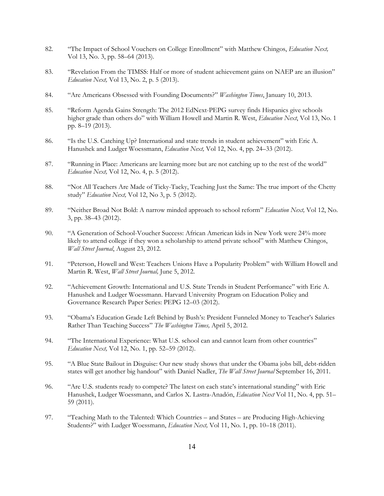- 82. "The Impact of School Vouchers on College Enrollment" with Matthew Chingos, *Education Next,* Vol 13, No. 3, pp. 58–64 (2013).
- 83. "Revelation From the TIMSS: Half or more of student achievement gains on NAEP are an illusion" *Education Next,* Vol 13, No. 2, p. 5 (2013).
- 84. "Are Americans Obsessed with Founding Documents?" *Washington Times*, January 10, 2013.
- 85. "Reform Agenda Gains Strength: The 2012 EdNext-PEPG survey finds Hispanics give schools higher grade than others do" with William Howell and Martin R. West, *Education Next*, Vol 13, No. 1 pp. 8–19 (2013).
- 86. "Is the U.S. Catching Up? International and state trends in student achievement" with Eric A. Hanushek and Ludger Woessmann, *Education Next,* Vol 12, No. 4, pp. 24–33 (2012).
- 87. "Running in Place: Americans are learning more but are not catching up to the rest of the world" *Education Next,* Vol 12, No. 4, p. 5 (2012).
- 88. "Not All Teachers Are Made of Ticky-Tacky, Teaching Just the Same: The true import of the Chetty study" *Education Next,* Vol 12, No 3, p. 5 (2012).
- 89. "Neither Broad Not Bold: A narrow minded approach to school reform" *Education Next,* Vol 12, No. 3, pp. 38–43 (2012).
- 90. "A Generation of School-Voucher Success: African American kids in New York were 24% more likely to attend college if they won a scholarship to attend private school" with Matthew Chingos, *Wall Street Journal*, August 23, 2012.
- 91. "Peterson, Howell and West: Teachers Unions Have a Popularity Problem" with William Howell and Martin R. West, *Wall Street Journal,* June 5, 2012.
- 92. "Achievement Growth: International and U.S. State Trends in Student Performance" with Eric A. Hanushek and Ludger Woessmann. Harvard University Program on Education Policy and Governance Research Paper Series: PEPG 12–03 (2012).
- 93. "Obama's Education Grade Left Behind by Bush's: President Funneled Money to Teacher's Salaries Rather Than Teaching Success" *The Washington Times,* April 5, 2012.
- 94. "The International Experience: What U.S. school can and cannot learn from other countries" *Education Next,* Vol 12, No. 1, pp. 52–59 (2012).
- 95. "A Blue State Bailout in Disguise: Our new study shows that under the Obama jobs bill, debt-ridden states will get another big handout" with Daniel Nadler, *The Wall Street Journal* September 16, 2011.
- 96. "Are U.S. students ready to compete? The latest on each state's international standing" with Eric Hanushek, Ludger Woessmann, and Carlos X. Lastra-Anadón, *Education Next* Vol 11, No. 4, pp. 51– 59 (2011).
- 97. "Teaching Math to the Talented: Which Countries and States are Producing High-Achieving Students?" with Ludger Woessmann, *Education Next,* Vol 11, No. 1, pp. 10–18 (2011).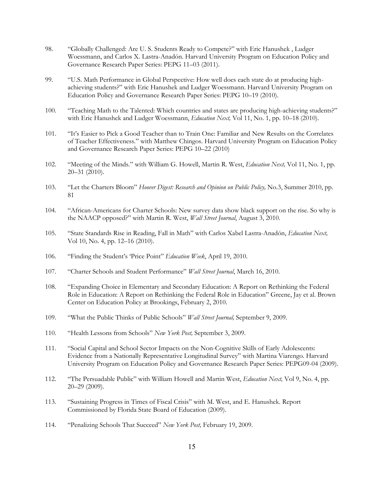- 98. "Globally Challenged: Are U. S. Students Ready to Compete?" with Eric Hanushek , Ludger Woessmann, and Carlos X. Lastra-Anadón. Harvard University Program on Education Policy and Governance Research Paper Series: PEPG 11–03 (2011).
- 99. "U.S. Math Performance in Global Perspective: How well does each state do at producing highachieving students?" with Eric Hanushek and Ludger Woessmann. Harvard University Program on Education Policy and Governance Research Paper Series: PEPG 10–19 (2010).
- 100. "Teaching Math to the Talented: Which countries and states are producing high-achieving students?" with Eric Hanushek and Ludger Woessmann, *Education Next,* Vol 11, No. 1, pp. 10–18 (2010).
- 101. "It's Easier to Pick a Good Teacher than to Train One: Familiar and New Results on the Correlates of Teacher Effectiveness." with Matthew Chingos. Harvard University Program on Education Policy and Governance Research Paper Series: PEPG 10–22 (2010)
- 102. "Meeting of the Minds." with William G. Howell, Martin R. West, *Education Next,* Vol 11, No. 1, pp. 20–31 (2010).
- 103. "Let the Charters Bloom" *Hoover Digest: Research and Opinion on Public Policy,* No.3, Summer 2010, pp. 81
- 104. "African-Americans for Charter Schools: New survey data show black support on the rise. So why is the NAACP opposed?" with Martin R. West, *Wall Street Journal*, August 3, 2010.
- 105. "State Standards Rise in Reading, Fall in Math" with Carlos Xabel Lastra-Anadón, *Education Next,* Vol 10, No. 4, pp. 12–16 (2010).
- 106. "Finding the Student's 'Price Point" *Education Week*, April 19, 2010.
- 107. "Charter Schools and Student Performance" *Wall Street Journal*, March 16, 2010.
- 108. "Expanding Choice in Elementary and Secondary Education: A Report on Rethinking the Federal Role in Education: A Report on Rethinking the Federal Role in Education" Greene, Jay et al. Brown Center on Education Policy at Brookings, February 2, 2010.
- 109. "What the Public Thinks of Public Schools" *Wall Street Journal,* September 9, 2009.
- 110. "Health Lessons from Schools" *New York Post,* September 3, 2009.
- 111. "Social Capital and School Sector Impacts on the Non-Cognitive Skills of Early Adolescents: Evidence from a Nationally Representative Longitudinal Survey" with Martina Viarengo. Harvard University Program on Education Policy and Governance Research Paper Series: PEPG09-04 (2009).
- 112. "The Persuadable Public" with William Howell and Martin West, *Education Next,* Vol 9, No. 4, pp. 20–29 (2009).
- 113. "Sustaining Progress in Times of Fiscal Crisis" with M. West, and E. Hanushek. Report Commissioned by Florida State Board of Education (2009).
- 114. "Penalizing Schools That Succeed" *New York Post,* February 19, 2009.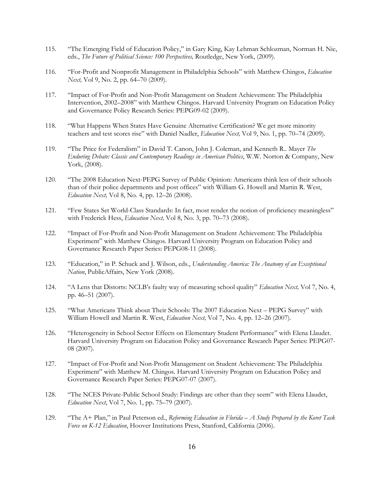- 115. "The Emerging Field of Education Policy," in Gary King, Kay Lehman Schlozman, Norman H. Nie, eds., *The Future of Political Science: 100 Perspectives,* Routledge, New York, (2009).
- 116. "For-Profit and Nonprofit Management in Philadelphia Schools" with Matthew Chingos, *Education Next,* Vol 9, No. 2, pp. 64–70 (2009).
- 117. "Impact of For-Profit and Non-Profit Management on Student Achievement: The Philadelphia Intervention, 2002–2008" with Matthew Chingos. Harvard University Program on Education Policy and Governance Policy Research Series: PEPG09-02 (2009).
- 118. "What Happens When States Have Genuine Alternative Certification? We get more minority teachers and test scores rise" with Daniel Nadler, *Education Next,* Vol 9, No. 1, pp. 70–74 (2009).
- 119. "The Price for Federalism" in David T. Canon, John J. Coleman, and Kenneth R.. Mayer *The Enduring Debate: Classic and Contemporary Readings in American Politics*, W.W. Norton & Company, New York, (2008).
- 120. "The 2008 Education Next-PEPG Survey of Public Opinion: Americans think less of their schools than of their police departments and post offices" with William G. Howell and Martin R. West, *Education Next,* Vol 8, No. 4, pp. 12–26 (2008).
- 121. "Few States Set World-Class Standards: In fact, most render the notion of proficiency meaningless" with Frederick Hess, *Education Next,* Vol 8, No. 3, pp. 70–73 (2008).
- 122. "Impact of For-Profit and Non-Profit Management on Student Achievement: The Philadelphia Experiment" with Matthew Chingos. Harvard University Program on Education Policy and Governance Research Paper Series: PEPG08-11 (2008).
- 123. "Education," in P. Schuck and J. Wilson, eds., *Understanding America: The Anatomy of an Exceptional Nation*, PublicAffairs, New York (2008).
- 124. "A Lens that Distorts: NCLB's faulty way of measuring school quality" *Education Next,* Vol 7, No. 4, pp. 46–51 (2007).
- 125. "What Americans Think about Their Schools: The 2007 Education Next PEPG Survey" with William Howell and Martin R. West, *Education Next,* Vol 7, No. 4, pp. 12–26 (2007).
- 126. "Heterogeneity in School Sector Effects on Elementary Student Performance" with Elena Llaudet. Harvard University Program on Education Policy and Governance Research Paper Series: PEPG07- 08 (2007).
- 127. "Impact of For-Profit and Non-Profit Management on Student Achievement: The Philadelphia Experiment" with Matthew M. Chingos. Harvard University Program on Education Policy and Governance Research Paper Series: PEPG07-07 (2007).
- 128. "The NCES Private-Public School Study: Findings are other than they seem" with Elena Llaudet, *Education Next*, Vol 7, No. 1, pp. 75–79 (2007).
- 129. "The A+ Plan," in Paul Peterson ed., *Reforming Education in Florida – A Study Prepared by the Koret Task Force on K-12 Education*, Hoover Institutions Press, Stanford, California (2006).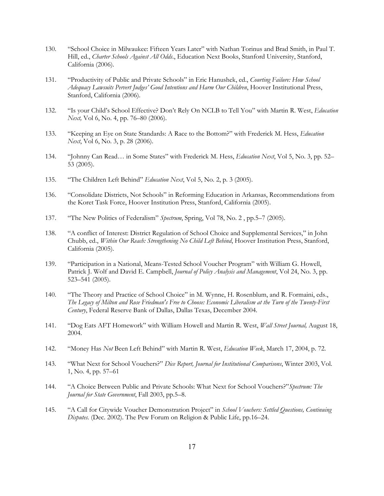- 130. "School Choice in Milwaukee: Fifteen Years Later" with Nathan Torinus and Brad Smith, in Paul T. Hill, ed., *Charter Schools Against All Odds*., Education Next Books, Stanford University, Stanford, California (2006).
- 131. "Productivity of Public and Private Schools" in Eric Hanushek, ed., *Courting Failure: How School Adequacy Lawsuits Pervert Judges' Good Intentions and Harm Our Children*, Hoover Institutional Press, Stanford, California (2006).
- 132. "Is your Child's School Effective? Don't Rely On NCLB to Tell You" with Martin R. West, *Education Next*, Vol 6, No. 4, pp. 76–80 (2006).
- 133. "Keeping an Eye on State Standards: A Race to the Bottom?" with Frederick M. Hess, *Education Next*, Vol 6, No. 3, p. 28 (2006).
- 134. "Johnny Can Read… in Some States" with Frederick M. Hess, *Education Next*, Vol 5, No. 3, pp. 52– 53 (2005).
- 135. "The Children Left Behind" *Education Next*, Vol 5, No. 2, p. 3 (2005).
- 136. "Consolidate Districts, Not Schools" in Reforming Education in Arkansas, Recommendations from the Koret Task Force, Hoover Institution Press, Stanford, California (2005).
- 137. "The New Politics of Federalism" *Spectrum*, Spring, Vol 78, No. 2 , pp.5–7 (2005).
- 138. "A conflict of Interest: District Regulation of School Choice and Supplemental Services," in John Chubb, ed., *Within Our Reach: Strengthening No Child Left Behind*, Hoover Institution Press, Stanford, California (2005).
- 139. "Participation in a National, Means-Tested School Voucher Program" with William G. Howell, Patrick J. Wolf and David E. Campbell, *Journal of Policy Analysis and Management*, Vol 24, No. 3, pp. 523–541 (2005).
- 140. "The Theory and Practice of School Choice" in M. Wynne, H. Rosenblum, and R. Formaini, eds., *The Legacy of Milton and Rose Friedman's Free to Choose: Economic Liberalism at the Turn of the Twenty-First Century*, Federal Reserve Bank of Dallas, Dallas Texas, December 2004.
- 141. "Dog Eats AFT Homework" with William Howell and Martin R. West, *Wall Street Journal,* August 18, 2004.
- 142. "Money Has *Not* Been Left Behind" with Martin R. West, *Education Week*, March 17, 2004, p. 72.
- 143. "What Next for School Vouchers?" *Dice Report, Journal for Institutional Comparisons*, Winter 2003, Vol. 1, No. 4, pp. 57–61
- 144. "A Choice Between Public and Private Schools: What Next for School Vouchers?"*Spectrum: The Journal for State Government*, Fall 2003, pp.5–8.
- 145. "A Call for Citywide Voucher Demonstration Project" in *School Vouchers: Settled Questions, Continuing Disputes.* (Dec. 2002). The Pew Forum on Religion & Public Life, pp.16–24.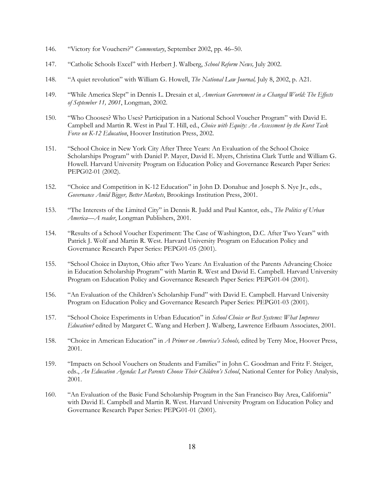- 146. "Victory for Vouchers?" *Commentary*, September 2002, pp. 46–50.
- 147. "Catholic Schools Excel" with Herbert J. Walberg, *School Reform News,* July 2002.
- 148. "A quiet revolution" with William G. Howell, *The National Law Journal,* July 8, 2002, p. A21.
- 149. "While America Slept" in Dennis L. Dresain et al, *American Government in a Changed World: The Effects of September 11, 2001*, Longman, 2002.
- 150. "Who Chooses? Who Uses? Participation in a National School Voucher Program" with David E. Campbell and Martin R. West in Paul T. Hill, ed., *Choice with Equity: An Assessment by the Koret Task Force on K-12 Education*, Hoover Institution Press, 2002.
- 151. "School Choice in New York City After Three Years: An Evaluation of the School Choice Scholarships Program" with Daniel P. Mayer, David E. Myers, Christina Clark Tuttle and William G. Howell. Harvard University Program on Education Policy and Governance Research Paper Series: PEPG02-01 (2002).
- 152. "Choice and Competition in K-12 Education" in John D. Donahue and Joseph S. Nye Jr., eds., *Governance Amid Bigger, Better Markets*, Brookings Institution Press, 2001.
- 153. "The Interests of the Limited City" in Dennis R. Judd and Paul Kantor, eds., *The Politics of Urban America—A reader*, Longman Publishers, 2001.
- 154. "Results of a School Voucher Experiment: The Case of Washington, D.C. After Two Years" with Patrick J. Wolf and Martin R. West. Harvard University Program on Education Policy and Governance Research Paper Series: PEPG01-05 (2001).
- 155. "School Choice in Dayton, Ohio after Two Years: An Evaluation of the Parents Advancing Choice in Education Scholarship Program" with Martin R. West and David E. Campbell. Harvard University Program on Education Policy and Governance Research Paper Series: PEPG01-04 (2001).
- 156. "An Evaluation of the Children's Scholarship Fund" with David E. Campbell. Harvard University Program on Education Policy and Governance Research Paper Series: PEPG01-03 (2001).
- 157. "School Choice Experiments in Urban Education" in *School Choice or Best Systems: What Improves Education?* edited by Margaret C. Wang and Herbert J. Walberg, Lawrence Erlbaum Associates, 2001.
- 158. "Choice in American Education" in *A Primer on America's Schools,* edited by Terry Moe, Hoover Press, 2001.
- 159. "Impacts on School Vouchers on Students and Families" in John C. Goodman and Fritz F. Steiger, eds., *An Education Agenda: Let Parents Choose Their Children's School*, National Center for Policy Analysis, 2001.
- 160. "An Evaluation of the Basic Fund Scholarship Program in the San Francisco Bay Area, California" with David E. Campbell and Martin R. West. Harvard University Program on Education Policy and Governance Research Paper Series: PEPG01-01 (2001).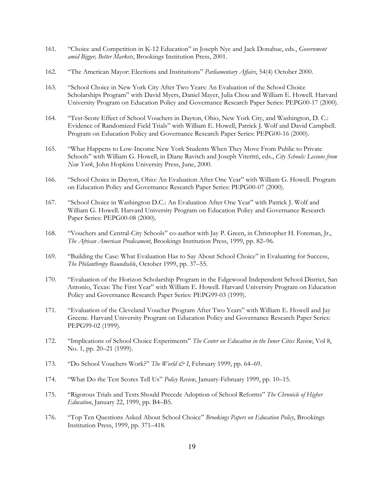- 161. "Choice and Competition in K-12 Education" in Joseph Nye and Jack Donahue, eds., *Government amid Bigger, Better Markets*, Brookings Institution Press, 2001.
- 162. "The American Mayor: Elections and Institutions" *Parliamentary Affairs*, 54(4) October 2000.
- 163. "School Choice in New York City After Two Years: An Evaluation of the School Choice Scholarships Program" with David Myers, Daniel Mayer, Julia Chou and William E. Howell. Harvard University Program on Education Policy and Governance Research Paper Series: PEPG00-17 (2000).
- 164. "Test-Score Effect of School Vouchers in Dayton, Ohio, New York City, and Washington, D. C.: Evidence of Randomized Field Trials" with William E. Howell, Patrick J. Wolf and David Campbell. Program on Education Policy and Governance Research Paper Series: PEPG00-16 (2000).
- 165. "What Happens to Low-Income New York Students When They Move From Public to Private Schools" with William G. Howell, in Diane Ravitch and Joseph Viteritti, eds., *City Schools: Lessons from New York*, John Hopkins University Press, June, 2000.
- 166. "School Choice in Dayton, Ohio: An Evaluation After One Year" with William G. Howell. Program on Education Policy and Governance Research Paper Series: PEPG00-07 (2000).
- 167. "School Choice in Washington D.C.: An Evaluation After One Year" with Patrick J. Wolf and William G. Howell. Harvard University Program on Education Policy and Governance Research Paper Series: PEPG00-08 (2000).
- 168. "Vouchers and Central-City Schools" co-author with Jay P. Green, in Christopher H. Foreman, Jr., *The African American Predicament*, Brookings Institution Press, 1999, pp. 82–96.
- 169. "Building the Case: What Evaluation Has to Say About School Choice" in Evaluating for Success, *The Philanthropy Roundtable*, October 1999, pp. 37–55.
- 170. "Evaluation of the Horizon Scholarship Program in the Edgewood Independent School District, San Antonio, Texas: The First Year" with William E. Howell. Harvard University Program on Education Policy and Governance Research Paper Series: PEPG99-03 (1999).
- 171. "Evaluation of the Cleveland Voucher Program After Two Years" with William E. Howell and Jay Greene. Harvard University Program on Education Policy and Governance Research Paper Series: PEPG99-02 (1999).
- 172. "Implications of School Choice Experiments" *The Center on Education in the Inner Cities Review*, Vol 8, No. 1, pp. 20–21 (1999).
- 173. "Do School Vouchers Work?" *The World & I*, February 1999, pp. 64–69.
- 174. "What Do the Test Scores Tell Us" *Policy Review*, January-February 1999, pp. 10–15.
- 175. "Rigorous Trials and Tests Should Precede Adoption of School Reforms" *The Chronicle of Higher Education*, January 22, 1999, pp. B4–B5.
- 176. "Top Ten Questions Asked About School Choice" *Brookings Papers on Education Policy*, Brookings Institution Press, 1999, pp. 371–418.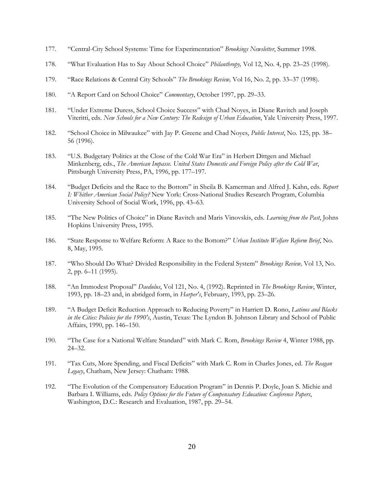- 177. "Central-City School Systems: Time for Experimentation" *Brookings Newsletter*, Summer 1998.
- 178. "What Evaluation Has to Say About School Choice" *Philanthropy,* Vol 12, No. 4, pp. 23–25 (1998).
- 179. "Race Relations & Central City Schools" *The Brookings Review,* Vol 16, No. 2, pp. 33–37 (1998).
- 180. "A Report Card on School Choice" *Commentary*, October 1997, pp. 29–33.
- 181. "Under Extreme Duress, School Choice Success" with Chad Noyes, in Diane Ravitch and Joseph Viteritti, eds. *New Schools for a New Century: The Redesign of Urban Education*, Yale University Press, 1997.
- 182. "School Choice in Milwaukee" with Jay P. Greene and Chad Noyes, *Public Interest*, No. 125, pp. 38– 56 (1996).
- 183. "U.S. Budgetary Politics at the Close of the Cold War Era" in Herbert Dittgen and Michael Minkenberg, eds., *The American Impasse. United States Domestic and Foreign Policy after the Cold War*, Pittsburgh University Press, PA, 1996, pp. 177–197.
- 184. "Budget Deficits and the Race to the Bottom" in Sheila B. Kamerman and Alfred J. Kahn, eds. *Report I: Whither American Social Policy?* New York: Cross-National Studies Research Program, Columbia University School of Social Work, 1996, pp. 43–63.
- 185. "The New Politics of Choice" in Diane Ravitch and Maris Vinovskis, eds. *Learning from the Past*, Johns Hopkins University Press, 1995.
- 186. "State Response to Welfare Reform: A Race to the Bottom?" *Urban Institute Welfare Reform Brief*, No. 8, May, 1995.
- 187. "Who Should Do What? Divided Responsibility in the Federal System" *Brookings Review,* Vol 13, No. 2, pp. 6–11 (1995).
- 188. "An Immodest Proposal" *Daedulus*, Vol 121, No. 4, (1992). Reprinted in *The Brookings Review*, Winter, 1993, pp. 18–23 and, in abridged form, in *Harper's*, February, 1993, pp. 23–26.
- 189. "A Budget Deficit Reduction Approach to Reducing Poverty" in Harriett D. Rono, *Latinos and Blacks in the Cities: Policies for the 1990's*, Austin, Texas: The Lyndon B. Johnson Library and School of Public Affairs, 1990, pp. 146–150.
- 190. "The Case for a National Welfare Standard" with Mark C. Rom, *Brookings Review* 4, Winter 1988, pp. 24–32.
- 191. "Tax Cuts, More Spending, and Fiscal Deficits" with Mark C. Rom in Charles Jones, ed. *The Reagan Legacy*, Chatham, New Jersey: Chatham: 1988.
- 192. "The Evolution of the Compensatory Education Program" in Dennis P. Doyle, Joan S. Michie and Barbara I. Williams, eds. *Policy Options for the Future of Compensatory Education: Conference Papers*, Washington, D.C.: Research and Evaluation, 1987, pp. 29–54.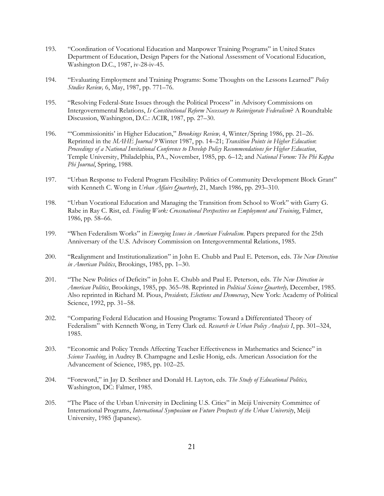- 193. "Coordination of Vocational Education and Manpower Training Programs" in United States Department of Education, Design Papers for the National Assessment of Vocational Education, Washington D.C., 1987, iv-28-iv-45.
- 194. "Evaluating Employment and Training Programs: Some Thoughts on the Lessons Learned" *Policy Studies Review,* 6, May, 1987, pp. 771–76.
- 195. "Resolving Federal-State Issues through the Political Process" in Advisory Commissions on Intergovernmental Relations, *Is Constitutional Reform Necessary to Reinvigorate Federalism*? A Roundtable Discussion, Washington, D.C.: ACIR, 1987, pp. 27–30.
- 196. "'Commissionitis' in Higher Education," *Brookings Review,* 4, Winter/Spring 1986, pp. 21–26. Reprinted in the *MAHE Journal 9* Winter 1987, pp. 14–21; *Transition Points in Higher Education*: *Proceedings of a National Invitational Conference to Develop Policy Recommendations for Higher Education*, Temple University, Philadelphia, PA., November, 1985, pp. 6–12; and *National Forum: The Phi Kappa Phi Journal*, Spring, 1988.
- 197. "Urban Response to Federal Program Flexibility: Politics of Community Development Block Grant" with Kenneth C. Wong in *Urban Affairs Quarterly*, 21, March 1986, pp. 293–310.
- 198. "Urban Vocational Education and Managing the Transition from School to Work" with Garry G. Rabe in Ray C. Rist, ed. *Finding Work: Crossnational Perspectives on Employment and Training*, Falmer, 1986, pp. 58–66.
- 199. "When Federalism Works" in *Emerging Issues in American Federalism*. Papers prepared for the 25th Anniversary of the U.S. Advisory Commission on Intergovernmental Relations, 1985.
- 200. "Realignment and Institutionalization" in John E. Chubb and Paul E. Peterson, eds. *The New Direction in American Politics*, Brookings, 1985, pp. 1–30.
- 201. "The New Politics of Deficits" in John E. Chubb and Paul E. Peterson, eds. *The New Direction in American Politics*, Brookings, 1985, pp. 365–98. Reprinted in *Political Science Quarterly,* December, 1985. Also reprinted in Richard M. Pious, *Presidents, Elections and Democracy*, New York: Academy of Political Science, 1992, pp. 31–58.
- 202. "Comparing Federal Education and Housing Programs: Toward a Differentiated Theory of Federalism" with Kenneth Wong, in Terry Clark ed. *Research in Urban Policy Analysis I*, pp. 301–324, 1985.
- 203. "Economic and Policy Trends Affecting Teacher Effectiveness in Mathematics and Science" in *Science Teaching*, in Audrey B. Champagne and Leslie Honig, eds. American Association for the Advancement of Science, 1985, pp. 102–25.
- 204. "Foreword," in Jay D. Scribner and Donald H. Layton, eds. *The Study of Educational Politics,* Washington, DC: Falmer, 1985.
- 205. "The Place of the Urban University in Declining U.S. Cities" in Meiji University Committee of International Programs, *International Symposium on Future Prospects of the Urban University*, Meiji University, 1985 (Japanese).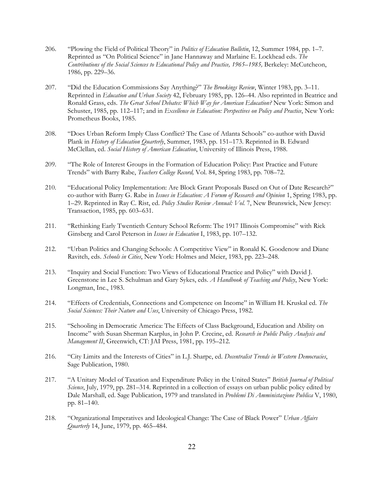- 206. "Plowing the Field of Political Theory" in *Politics of Education Bulletin*, 12, Summer 1984, pp. 1–7. Reprinted as "On Political Science" in Jane Hannaway and Marlaine E. Lockhead eds. *The Contributions of the Social Sciences to Educational Policy and Practice, 1965–1985,* Berkeley: McCutcheon, 1986, pp. 229–36.
- 207. "Did the Education Commissions Say Anything?" *The Brookings Review*, Winter 1983, pp. 3–11. Reprinted in *Education and Urban Society* 42, February 1985, pp. 126–44. Also reprinted in Beatrice and Ronald Grass, eds. *The Great School Debates: Which Way for American Education?* New York: Simon and Schuster, 1985, pp. 112–117; and in *Excellence in Education: Perspectives on Policy and Practice*, New York: Prometheus Books, 1985.
- 208. "Does Urban Reform Imply Class Conflict? The Case of Atlanta Schools" co-author with David Plank in *History of Education Quarterly*, Summer, 1983, pp. 151–173. Reprinted in B. Edward McClellan, ed. *Social History of American Education*, University of Illinois Press, 1988.
- 209. "The Role of Interest Groups in the Formation of Education Policy: Past Practice and Future Trends" with Barry Rabe, *Teachers College Record,* Vol. 84, Spring 1983, pp. 708–72.
- 210. "Educational Policy Implementation: Are Block Grant Proposals Based on Out of Date Research?" co-author with Barry G. Rabe in *Issues in Education: A Forum of Research and Opinion* 1, Spring 1983, pp. 1–29. Reprinted in Ray C. Rist, ed. *Policy Studies Review Annual: Vol.* 7, New Brunswick, New Jersey: Transaction, 1985, pp. 603–631.
- 211. "Rethinking Early Twentieth Century School Reform: The 1917 Illinois Compromise" with Rick Ginsberg and Carol Peterson in *Issues in Education* I, 1983, pp. 107–132.
- 212. "Urban Politics and Changing Schools: A Competitive View" in Ronald K. Goodenow and Diane Ravitch, eds. *Schools in Cities*, New York: Holmes and Meier, 1983, pp. 223–248.
- 213. "Inquiry and Social Function: Two Views of Educational Practice and Policy" with David J. Greenstone in Lee S. Schulman and Gary Sykes, eds. *A Handbook of Teaching and Policy*, New York: Longman, Inc., 1983.
- 214. "Effects of Credentials, Connections and Competence on Income" in William H. Kruskal ed. *The Social Sciences: Their Nature and Uses*, University of Chicago Press, 1982.
- 215. "Schooling in Democratic America: The Effects of Class Background, Education and Ability on Income" with Susan Sherman Karplus, in John P. Crecine, ed. *Research in Public Policy Analysis and Management II*, Greenwich, CT: JAI Press, 1981, pp. 195–212.
- 216. "City Limits and the Interests of Cities" in L.J. Sharpe, ed. *Decentralist Trends in Western Democracies*, Sage Publication, 1980.
- 217. "A Unitary Model of Taxation and Expenditure Policy in the United States" *British Journal of Political Science*, July, 1979, pp. 281–314. Reprinted in a collection of essays on urban public policy edited by Dale Marshall, ed. Sage Publication, 1979 and translated in *Problemi Di Amministazione Publica* V, 1980, pp. 81–140.
- 218. "Organizational Imperatives and Ideological Change: The Case of Black Power" *Urban Affairs Quarterly* 14, June, 1979, pp. 465–484.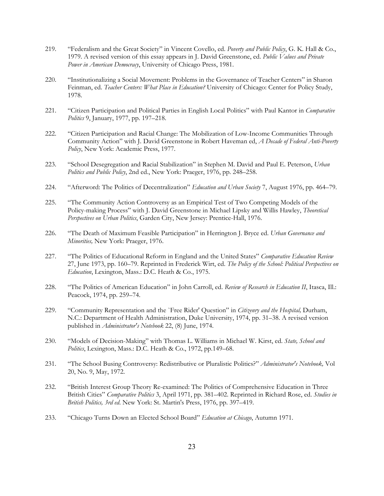- 219. "Federalism and the Great Society" in Vincent Covello, ed. *Poverty and Public Policy*, G. K. Hall & Co., 1979. A revised version of this essay appears in J. David Greenstone, ed. *Public Values and Private Power in American Democracy*, University of Chicago Press, 1981.
- 220. "Institutionalizing a Social Movement: Problems in the Governance of Teacher Centers" in Sharon Feinman, ed. *Teacher Centers: What Place in Education?* University of Chicago: Center for Policy Study, 1978.
- 221. "Citizen Participation and Political Parties in English Local Politics" with Paul Kantor in *Comparative Politics* 9, January, 1977, pp. 197–218.
- 222. "Citizen Participation and Racial Change: The Mobilization of Low-Income Communities Through Community Action" with J. David Greenstone in Robert Haveman ed, *A Decade of Federal Anti-Poverty Policy*, New York: Academic Press, 1977.
- 223. "School Desegregation and Racial Stabilization" in Stephen M. David and Paul E. Peterson, *Urban Politics and Public Policy*, 2nd ed., New York: Praeger, 1976, pp. 248–258.
- 224. "Afterword: The Politics of Decentralization" *Education and Urban Society* 7, August 1976, pp. 464–79.
- 225. "The Community Action Controversy as an Empirical Test of Two Competing Models of the Policy-making Process" with J. David Greenstone in Michael Lipsky and Willis Hawley, *Theoretical Perspectives on Urban Politics*, Garden City, New Jersey: Prentice-Hall, 1976.
- 226. "The Death of Maximum Feasible Participation" in Herrington J. Bryce ed. *Urban Governance and Minorities,* New York: Praeger, 1976.
- 227. "The Politics of Educational Reform in England and the United States" *Comparative Education Review* 27, June 1973, pp. 160–79. Reprinted in Frederick Wirt, ed. *The Policy of the School: Political Perspectives on Education*, Lexington, Mass.: D.C. Heath & Co., 1975.
- 228. "The Politics of American Education" in John Carroll, ed. *Review of Research in Education II*, Itasca, Ill.: Peacock, 1974, pp. 259–74.
- 229. "Community Representation and the `Free Rider' Question" in *Citizenry and the Hospital,* Durham, N.C.: Department of Health Administration, Duke University, 1974, pp. 31–38. A revised version published in *Administrator's Notebook* 22, (8) June, 1974.
- 230. "Models of Decision-Making" with Thomas L. Williams in Michael W. Kirst, ed. *State, School and Politics*, Lexington, Mass.: D.C. Heath & Co., 1972, pp.149–68.
- 231. "The School Busing Controversy: Redistributive or Pluralistic Politics?" *Administrator's Notebook,* Vol 20, No. 9, May, 1972.
- 232. "British Interest Group Theory Re-examined: The Politics of Comprehensive Education in Three British Cities" *Comparative Politics* 3, April 1971, pp. 381–402. Reprinted in Richard Rose, ed. *Studies in British Politics, 3rd ed*. New York: St. Martin's Press, 1976, pp. 397–419.
- 233. "Chicago Turns Down an Elected School Board" *Education at Chicago*, Autumn 1971.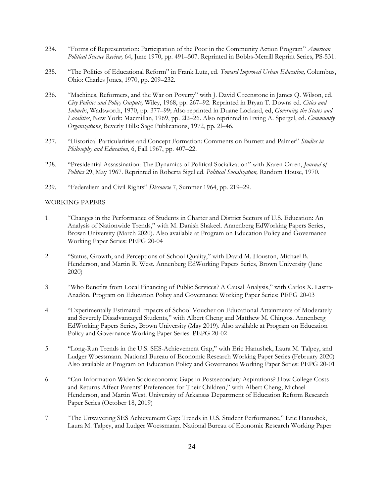- 234. "Forms of Representation: Participation of the Poor in the Community Action Program" *American Political Science Review,* 64, June 1970, pp. 491–507. Reprinted in Bobbs-Merrill Reprint Series, PS-531.
- 235. "The Politics of Educational Reform" in Frank Lutz, ed. *Toward Improved Urban Education,* Columbus, Ohio: Charles Jones, 1970, pp. 209–232.
- 236. "Machines, Reformers, and the War on Poverty" with J. David Greenstone in James Q. Wilson, ed. *City Politics and Policy Outputs,* Wiley, 1968, pp. 267–92. Reprinted in Bryan T. Downs ed. *Cities and Suburbs*, Wadsworth, 1970, pp. 377–99; Also reprinted in Duane Lockard, ed, *Governing the States and Localities*, New York: Macmillan, 1969, pp. 2l2–26. Also reprinted in Irving A. Spergel, ed. *Community Organizations*, Beverly Hills: Sage Publications, 1972, pp. 2l–46.
- 237. "Historical Particularities and Concept Formation: Comments on Burnett and Palmer" *Studies in Philosophy and Education,* 6, Fall 1967, pp. 407–22.
- 238. "Presidential Assassination: The Dynamics of Political Socialization" with Karen Orren, *Journal of Politics* 29, May 1967. Reprinted in Roberta Sigel ed. *Political Socialization,* Random House, 1970.
- 239. "Federalism and Civil Rights" *Discourse* 7, Summer 1964, pp. 219–29.

#### WORKING PAPERS

- 1. "Changes in the Performance of Students in Charter and District Sectors of U.S. Education: An Analysis of Nationwide Trends," with M. Danish Shakeel. Annenberg EdWorking Papers Series, Brown University (March 2020). Also available at Program on Education Policy and Governance Working Paper Series: PEPG 20-04
- 2. "Status, Growth, and Perceptions of School Quality," with David M. Houston, Michael B. Henderson, and Martin R. West. Annenberg EdWorking Papers Series, Brown University (June 2020)
- 3. "Who Benefits from Local Financing of Public Services? A Causal Analysis," with Carlos X. Lastra-Anadón. Program on Education Policy and Governance Working Paper Series: PEPG 20-03
- 4. "Experimentally Estimated Impacts of School Voucher on Educational Attainments of Moderately and Severely Disadvantaged Students," with Albert Cheng and Matthew M. Chingos. Annenberg EdWorking Papers Series, Brown University (May 2019). Also available at Program on Education Policy and Governance Working Paper Series: PEPG 20-02
- 5. "Long-Run Trends in the U.S. SES-Achievement Gap," with Eric Hanushek, Laura M. Talpey, and Ludger Woessmann. National Bureau of Economic Research Working Paper Series (February 2020) Also available at Program on Education Policy and Governance Working Paper Series: PEPG 20-01
- 6. "Can Information Widen Socioeconomic Gaps in Postsecondary Aspirations? How College Costs and Returns Affect Parents' Preferences for Their Children," with Albert Cheng, Michael Henderson, and Martin West. University of Arkansas Department of Education Reform Research Paper Series (October 18, 2019)
- 7. "The Unwavering SES Achievement Gap: Trends in U.S. Student Performance," Eric Hanushek, Laura M. Talpey, and Ludger Woessmann. National Bureau of Economic Research Working Paper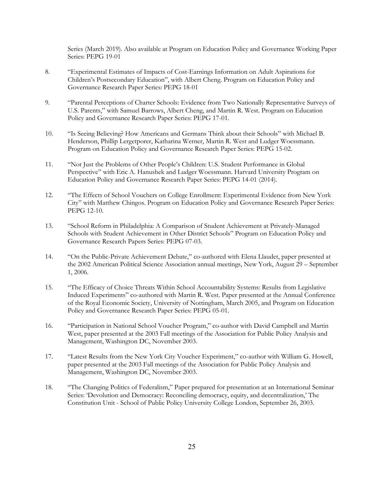Series (March 2019). Also available at Program on Education Policy and Governance Working Paper Series: PEPG 19-01

- 8. "Experimental Estimates of Impacts of Cost-Earnings Information on Adult Aspirations for Children's Postsecondary Education", with Albert Cheng. Program on Education Policy and Governance Research Paper Series: PEPG 18-01
- 9. "Parental Perceptions of Charter Schools: Evidence from Two Nationally Representative Surveys of U.S. Parents," with Samuel Barrows, Albert Cheng, and Martin R. West. Program on Education Policy and Governance Research Paper Series: PEPG 17-01.
- 10. "Is Seeing Believing? How Americans and Germans Think about their Schools" with Michael B. Henderson, Phillip Lergetporer, Katharina Werner, Martin R. West and Ludger Woessmann. Program on Education Policy and Governance Research Paper Series: PEPG 15-02.
- 11. "Not Just the Problems of Other People's Children: U.S. Student Performance in Global Perspective" with Eric A. Hanushek and Ludger Woessmann. Harvard University Program on Education Policy and Governance Research Paper Series: PEPG 14-01 (2014).
- 12. "The Effects of School Vouchers on College Enrollment: Experimental Evidence from New York City" with Matthew Chingos. Program on Education Policy and Governance Research Paper Series: PEPG 12-10.
- 13. "School Reform in Philadelphia: A Comparison of Student Achievement at Privately-Managed Schools with Student Achievement in Other District Schools" Program on Education Policy and Governance Research Papers Series: PEPG 07-03.
- 14. "On the Public-Private Achievement Debate," co-authored with Elena Llaudet, paper presented at the 2002 American Political Science Association annual meetings, New York, August 29 – September 1, 2006.
- 15. "The Efficacy of Choice Threats Within School Accountability Systems: Results from Legislative Induced Experiments" co-authored with Martin R. West. Paper presented at the Annual Conference of the Royal Economic Society, University of Nottingham, March 2005, and Program on Education Policy and Governance Research Paper Series: PEPG 05-01.
- 16. "Participation in National School Voucher Program," co-author with David Campbell and Martin West, paper presented at the 2003 Fall meetings of the Association for Public Policy Analysis and Management, Washington DC, November 2003.
- 17. "Latest Results from the New York City Voucher Experiment," co-author with William G. Howell, paper presented at the 2003 Fall meetings of the Association for Public Policy Analysis and Management, Washington DC, November 2003.
- 18. "The Changing Politics of Federalism," Paper prepared for presentation at an International Seminar Series: 'Devolution and Democracy: Reconciling democracy, equity, and decentralization,' The Constitution Unit - School of Public Policy University College London, September 26, 2003.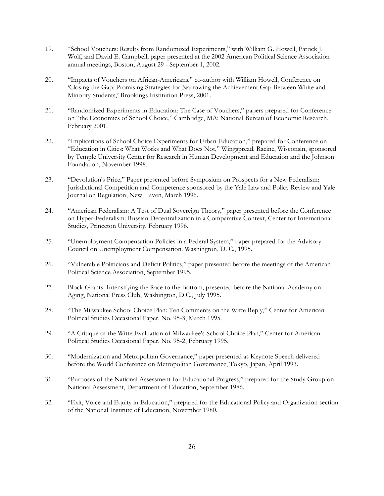- 19. "School Vouchers: Results from Randomized Experiments," with William G. Howell, Patrick J. Wolf, and David E. Campbell, paper presented at the 2002 American Political Science Association annual meetings, Boston, August 29 - September 1, 2002.
- 20. "Impacts of Vouchers on African-Americans," co-author with William Howell, Conference on 'Closing the Gap: Promising Strategies for Narrowing the Achievement Gap Between White and Minority Students,' Brookings Institution Press, 2001.
- 21. "Randomized Experiments in Education: The Case of Vouchers," papers prepared for Conference on "the Economics of School Choice," Cambridge, MA: National Bureau of Economic Research, February 2001.
- 22. "Implications of School Choice Experiments for Urban Education," prepared for Conference on "Education in Cities: What Works and What Does Not," Wingspread, Racine, Wisconsin, sponsored by Temple University Center for Research in Human Development and Education and the Johnson Foundation, November 1998.
- 23. "Devolution's Price," Paper presented before Symposium on Prospects for a New Federalism: Jurisdictional Competition and Competence sponsored by the Yale Law and Policy Review and Yale Journal on Regulation, New Haven, March 1996.
- 24. "American Federalism: A Test of Dual Sovereign Theory," paper presented before the Conference on Hyper-Federalism: Russian Decentralization in a Comparative Context, Center for International Studies, Princeton University, February 1996.
- 25. "Unemployment Compensation Policies in a Federal System," paper prepared for the Advisory Council on Unemployment Compensation. Washington, D. C., 1995.
- 26. "Vulnerable Politicians and Deficit Politics," paper presented before the meetings of the American Political Science Association, September 1995.
- 27. Block Grants: Intensifying the Race to the Bottom, presented before the National Academy on Aging, National Press Club, Washington, D.C., July 1995.
- 28. "The Milwaukee School Choice Plan: Ten Comments on the Witte Reply," Center for American Political Studies Occasional Paper, No. 95-3, March 1995.
- 29. "A Critique of the Witte Evaluation of Milwaukee's School Choice Plan," Center for American Political Studies Occasional Paper, No. 95-2, February 1995.
- 30. "Modernization and Metropolitan Governance," paper presented as Keynote Speech delivered before the World Conference on Metropolitan Governance, Tokyo, Japan, April 1993.
- 31. "Purposes of the National Assessment for Educational Progress," prepared for the Study Group on National Assessment, Department of Education, September 1986.
- 32. "Exit, Voice and Equity in Education," prepared for the Educational Policy and Organization section of the National Institute of Education, November 1980.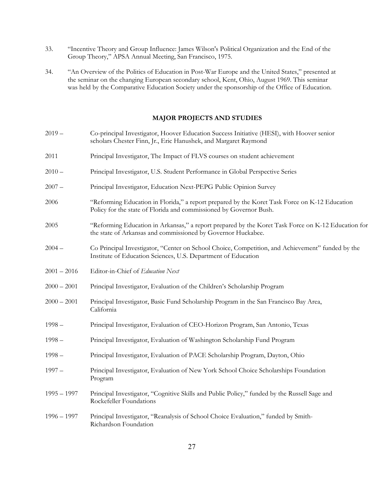- 33. "Incentive Theory and Group Influence: James Wilson's Political Organization and the End of the Group Theory," APSA Annual Meeting, San Francisco, 1975.
- 34. "An Overview of the Politics of Education in Post-War Europe and the United States," presented at the seminar on the changing European secondary school, Kent, Ohio, August 1969. This seminar was held by the Comparative Education Society under the sponsorship of the Office of Education.

## **MAJOR PROJECTS AND STUDIES**

| $2019 -$      | Co-principal Investigator, Hoover Education Success Initiative (HESI), with Hoover senior<br>scholars Chester Finn, Jr., Eric Hanushek, and Margaret Raymond        |
|---------------|---------------------------------------------------------------------------------------------------------------------------------------------------------------------|
| 2011          | Principal Investigator, The Impact of FLVS courses on student achievement                                                                                           |
| $2010 -$      | Principal Investigator, U.S. Student Performance in Global Perspective Series                                                                                       |
| $2007 -$      | Principal Investigator, Education Next-PEPG Public Opinion Survey                                                                                                   |
| 2006          | "Reforming Education in Florida," a report prepared by the Koret Task Force on K-12 Education<br>Policy for the state of Florida and commissioned by Governor Bush. |
| 2005          | "Reforming Education in Arkansas," a report prepared by the Koret Task Force on K-12 Education for<br>the state of Arkansas and commissioned by Governor Huckabee.  |
| $2004 -$      | Co Principal Investigator, "Center on School Choice, Competition, and Achievement" funded by the<br>Institute of Education Sciences, U.S. Department of Education   |
| $2001 - 2016$ | Editor-in-Chief of Education Next                                                                                                                                   |
| $2000 - 2001$ | Principal Investigator, Evaluation of the Children's Scholarship Program                                                                                            |
| $2000 - 2001$ | Principal Investigator, Basic Fund Scholarship Program in the San Francisco Bay Area,<br>California                                                                 |
| $1998 -$      | Principal Investigator, Evaluation of CEO-Horizon Program, San Antonio, Texas                                                                                       |
| $1998 -$      | Principal Investigator, Evaluation of Washington Scholarship Fund Program                                                                                           |
| $1998 -$      | Principal Investigator, Evaluation of PACE Scholarship Program, Dayton, Ohio                                                                                        |
| $1997 -$      | Principal Investigator, Evaluation of New York School Choice Scholarships Foundation<br>Program                                                                     |
| $1995 - 1997$ | Principal Investigator, "Cognitive Skills and Public Policy," funded by the Russell Sage and<br>Rockefeller Foundations                                             |
| $1996 - 1997$ | Principal Investigator, "Reanalysis of School Choice Evaluation," funded by Smith-<br>Richardson Foundation                                                         |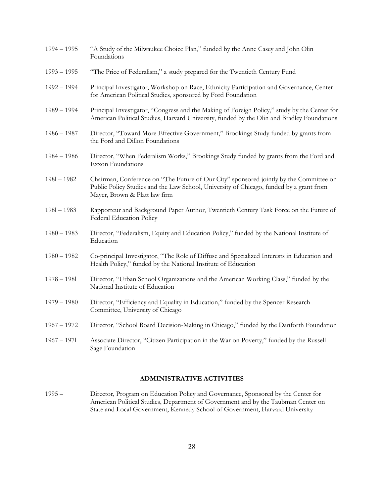| $1994 - 1995$ | "A Study of the Milwaukee Choice Plan," funded by the Anne Casey and John Olin<br>Foundations                                                                                                                      |
|---------------|--------------------------------------------------------------------------------------------------------------------------------------------------------------------------------------------------------------------|
| $1993 - 1995$ | "The Price of Federalism," a study prepared for the Twentieth Century Fund                                                                                                                                         |
| $1992 - 1994$ | Principal Investigator, Workshop on Race, Ethnicity Participation and Governance, Center<br>for American Political Studies, sponsored by Ford Foundation                                                           |
| $1989 - 1994$ | Principal Investigator, "Congress and the Making of Foreign Policy," study by the Center for<br>American Political Studies, Harvard University, funded by the Olin and Bradley Foundations                         |
| $1986 - 1987$ | Director, "Toward More Effective Government," Brookings Study funded by grants from<br>the Ford and Dillon Foundations                                                                                             |
| $1984 - 1986$ | Director, "When Federalism Works," Brookings Study funded by grants from the Ford and<br><b>Exxon Foundations</b>                                                                                                  |
| $1981 - 1982$ | Chairman, Conference on "The Future of Our City" sponsored jointly by the Committee on<br>Public Policy Studies and the Law School, University of Chicago, funded by a grant from<br>Mayer, Brown & Platt law firm |
| $1981 - 1983$ | Rapporteur and Background Paper Author, Twentieth Century Task Force on the Future of<br>Federal Education Policy                                                                                                  |
| $1980 - 1983$ | Director, "Federalism, Equity and Education Policy," funded by the National Institute of<br>Education                                                                                                              |
| $1980 - 1982$ | Co-principal Investigator, "The Role of Diffuse and Specialized Interests in Education and<br>Health Policy," funded by the National Institute of Education                                                        |
| $1978 - 1981$ | Director, "Urban School Organizations and the American Working Class," funded by the<br>National Institute of Education                                                                                            |
| $1979 - 1980$ | Director, "Efficiency and Equality in Education," funded by the Spencer Research<br>Committee, University of Chicago                                                                                               |
| $1967 - 1972$ | Director, "School Board Decision-Making in Chicago," funded by the Danforth Foundation                                                                                                                             |
| $1967 - 1971$ | Associate Director, "Citizen Participation in the War on Poverty," funded by the Russell<br>Sage Foundation                                                                                                        |

## **ADMINISTRATIVE ACTIVITIES**

1995 – Director, Program on Education Policy and Governance, Sponsored by the Center for American Political Studies, Department of Government and by the Taubman Center on State and Local Government, Kennedy School of Government, Harvard University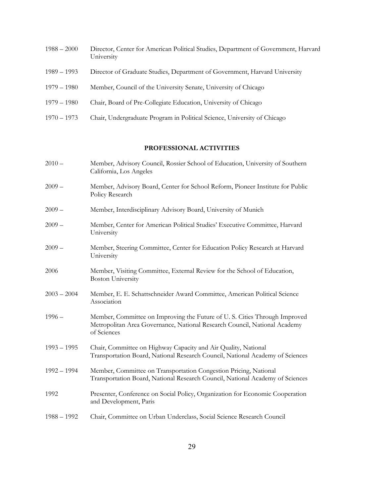| $1988 - 2000$ | Director, Center for American Political Studies, Department of Government, Harvard<br>University |
|---------------|--------------------------------------------------------------------------------------------------|
| $1989 - 1993$ | Director of Graduate Studies, Department of Government, Harvard University                       |
| $1979 - 1980$ | Member, Council of the University Senate, University of Chicago                                  |

- 1979 1980 Chair, Board of Pre-Collegiate Education, University of Chicago
- 1970 1973 Chair, Undergraduate Program in Political Science, University of Chicago

# **PROFESSIONAL ACTIVITIES**

| $2010 -$      | Member, Advisory Council, Rossier School of Education, University of Southern<br>California, Los Angeles                                                              |
|---------------|-----------------------------------------------------------------------------------------------------------------------------------------------------------------------|
| $2009 -$      | Member, Advisory Board, Center for School Reform, Pioneer Institute for Public<br>Policy Research                                                                     |
| $2009 -$      | Member, Interdisciplinary Advisory Board, University of Munich                                                                                                        |
| $2009 -$      | Member, Center for American Political Studies' Executive Committee, Harvard<br>University                                                                             |
| $2009 -$      | Member, Steering Committee, Center for Education Policy Research at Harvard<br>University                                                                             |
| 2006          | Member, Visiting Committee, External Review for the School of Education,<br><b>Boston University</b>                                                                  |
| $2003 - 2004$ | Member, E. E. Schattschneider Award Committee, American Political Science<br>Association                                                                              |
| $1996 -$      | Member, Committee on Improving the Future of U.S. Cities Through Improved<br>Metropolitan Area Governance, National Research Council, National Academy<br>of Sciences |
| $1993 - 1995$ | Chair, Committee on Highway Capacity and Air Quality, National<br>Transportation Board, National Research Council, National Academy of Sciences                       |
| $1992 - 1994$ | Member, Committee on Transportation Congestion Pricing, National<br>Transportation Board, National Research Council, National Academy of Sciences                     |
| 1992          | Presenter, Conference on Social Policy, Organization for Economic Cooperation<br>and Development, Paris                                                               |
| $1988 - 1992$ | Chair, Committee on Urban Underclass, Social Science Research Council                                                                                                 |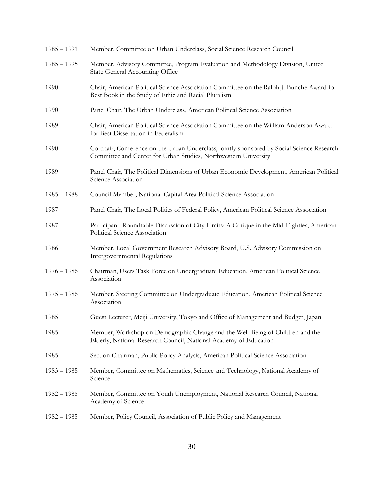| $1985 - 1991$ | Member, Committee on Urban Underclass, Social Science Research Council                                                                                        |
|---------------|---------------------------------------------------------------------------------------------------------------------------------------------------------------|
| $1985 - 1995$ | Member, Advisory Committee, Program Evaluation and Methodology Division, United<br><b>State General Accounting Office</b>                                     |
| 1990          | Chair, American Political Science Association Committee on the Ralph J. Bunche Award for<br>Best Book in the Study of Ethic and Racial Pluralism              |
| 1990          | Panel Chair, The Urban Underclass, American Political Science Association                                                                                     |
| 1989          | Chair, American Political Science Association Committee on the William Anderson Award<br>for Best Dissertation in Federalism                                  |
| 1990          | Co-chair, Conference on the Urban Underclass, jointly sponsored by Social Science Research<br>Committee and Center for Urban Studies, Northwestern University |
| 1989          | Panel Chair, The Political Dimensions of Urban Economic Development, American Political<br>Science Association                                                |
| $1985 - 1988$ | Council Member, National Capital Area Political Science Association                                                                                           |
| 1987          | Panel Chair, The Local Politics of Federal Policy, American Political Science Association                                                                     |
| 1987          | Participant, Roundtable Discussion of City Limits: A Critique in the Mid-Eighties, American<br>Political Science Association                                  |
| 1986          | Member, Local Government Research Advisory Board, U.S. Advisory Commission on<br>Intergovernmental Regulations                                                |
| $1976 - 1986$ | Chairman, Users Task Force on Undergraduate Education, American Political Science<br>Association                                                              |
| $1975 - 1986$ | Member, Steering Committee on Undergraduate Education, American Political Science<br>Association                                                              |
| 1985          | Guest Lecturer, Meiji University, Tokyo and Office of Management and Budget, Japan                                                                            |
| 1985          | Member, Workshop on Demographic Change and the Well-Being of Children and the<br>Elderly, National Research Council, National Academy of Education            |
| 1985          | Section Chairman, Public Policy Analysis, American Political Science Association                                                                              |
| $1983 - 1985$ | Member, Committee on Mathematics, Science and Technology, National Academy of<br>Science.                                                                     |
| $1982 - 1985$ | Member, Committee on Youth Unemployment, National Research Council, National<br>Academy of Science                                                            |
| $1982 - 1985$ | Member, Policy Council, Association of Public Policy and Management                                                                                           |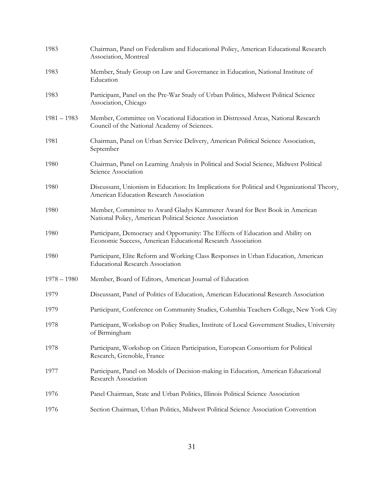| 1983          | Chairman, Panel on Federalism and Educational Policy, American Educational Research<br>Association, Montreal                                   |
|---------------|------------------------------------------------------------------------------------------------------------------------------------------------|
| 1983          | Member, Study Group on Law and Governance in Education, National Institute of<br>Education                                                     |
| 1983          | Participant, Panel on the Pre-War Study of Urban Politics, Midwest Political Science<br>Association, Chicago                                   |
| $1981 - 1983$ | Member, Committee on Vocational Education in Distressed Areas, National Research<br>Council of the National Academy of Sciences.               |
| 1981          | Chairman, Panel on Urban Service Delivery, American Political Science Association,<br>September                                                |
| 1980          | Chairman, Panel on Learning Analysis in Political and Social Science, Midwest Political<br>Science Association                                 |
| 1980          | Discussant, Unionism in Education: Its Implications for Political and Organizational Theory,<br>American Education Research Association        |
| 1980          | Member, Committee to Award Gladys Kammerer Award for Best Book in American<br>National Policy, American Political Science Association          |
| 1980          | Participant, Democracy and Opportunity: The Effects of Education and Ability on<br>Economic Success, American Educational Research Association |
| 1980          | Participant, Elite Reform and Working Class Responses in Urban Education, American<br><b>Educational Research Association</b>                  |
| $1978 - 1980$ | Member, Board of Editors, American Journal of Education                                                                                        |
| 1979          | Discussant, Panel of Politics of Education, American Educational Research Association                                                          |
| 1979          | Participant, Conference on Community Studies, Columbia Teachers College, New York City                                                         |
| 1978          | Participant, Workshop on Policy Studies, Institute of Local Government Studies, University<br>of Birmingham                                    |
| 1978          | Participant, Workshop on Citizen Participation, European Consortium for Political<br>Research, Grenoble, France                                |
| 1977          | Participant, Panel on Models of Decision-making in Education, American Educational<br>Research Association                                     |
| 1976          | Panel Chairman, State and Urban Politics, Illinois Political Science Association                                                               |
| 1976          | Section Chairman, Urban Politics, Midwest Political Science Association Convention                                                             |